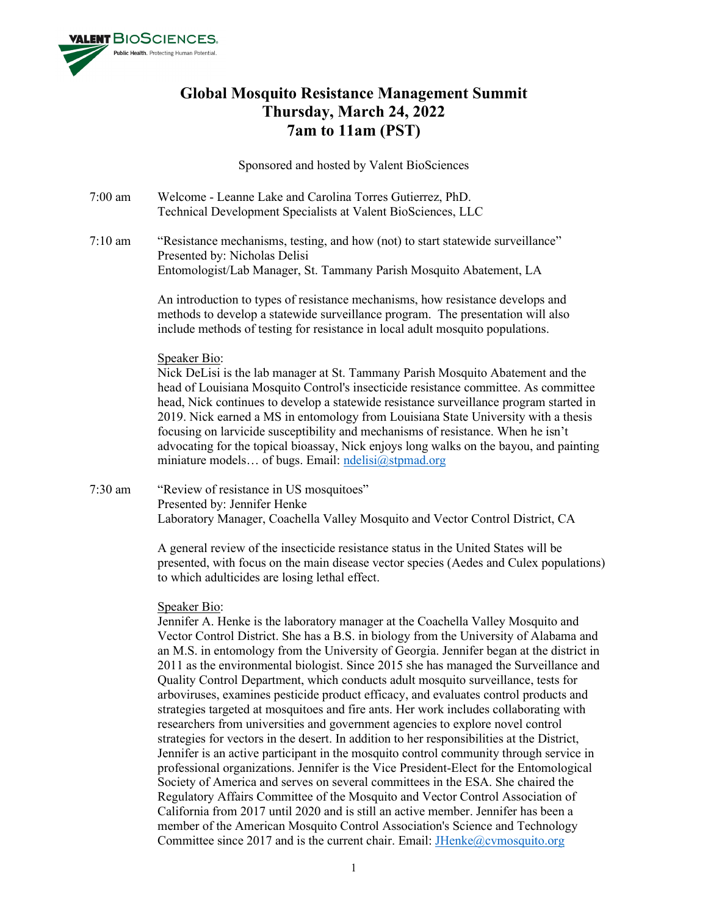

# **Global Mosquito Resistance Management Summit Thursday, March 24, 2022 7am to 11am (PST)**

Sponsored and hosted by Valent BioSciences

- 7:00 am Welcome Leanne Lake and Carolina Torres Gutierrez, PhD. Technical Development Specialists at Valent BioSciences, LLC
- 7:10 am "Resistance mechanisms, testing, and how (not) to start statewide surveillance" Presented by: Nicholas Delisi Entomologist/Lab Manager, St. Tammany Parish Mosquito Abatement, LA

An introduction to types of resistance mechanisms, how resistance develops and methods to develop a statewide surveillance program. The presentation will also include methods of testing for resistance in local adult mosquito populations.

# Speaker Bio:

Nick DeLisi is the lab manager at St. Tammany Parish Mosquito Abatement and the head of Louisiana Mosquito Control's insecticide resistance committee. As committee head, Nick continues to develop a statewide resistance surveillance program started in 2019. Nick earned a MS in entomology from Louisiana State University with a thesis focusing on larvicide susceptibility and mechanisms of resistance. When he isn't advocating for the topical bioassay, Nick enjoys long walks on the bayou, and painting miniature models... of bugs. Email: [ndelisi@stpmad.org](mailto:ndelisi@stpmad.org)

7:30 am "Review of resistance in US mosquitoes" Presented by: Jennifer Henke Laboratory Manager, Coachella Valley Mosquito and Vector Control District, CA

> A general review of the insecticide resistance status in the United States will be presented, with focus on the main disease vector species (Aedes and Culex populations) to which adulticides are losing lethal effect.

## Speaker Bio:

Jennifer A. Henke is the laboratory manager at the Coachella Valley Mosquito and Vector Control District. She has a B.S. in biology from the University of Alabama and an M.S. in entomology from the University of Georgia. Jennifer began at the district in 2011 as the environmental biologist. Since 2015 she has managed the Surveillance and Quality Control Department, which conducts adult mosquito surveillance, tests for arboviruses, examines pesticide product efficacy, and evaluates control products and strategies targeted at mosquitoes and fire ants. Her work includes collaborating with researchers from universities and government agencies to explore novel control strategies for vectors in the desert. In addition to her responsibilities at the District, Jennifer is an active participant in the mosquito control community through service in professional organizations. Jennifer is the Vice President-Elect for the Entomological Society of America and serves on several committees in the ESA. She chaired the Regulatory Affairs Committee of the Mosquito and Vector Control Association of California from 2017 until 2020 and is still an active member. Jennifer has been a member of the American Mosquito Control Association's Science and Technology Committee since 2017 and is the current chair. Email: **JHenke@cvmosquito.org**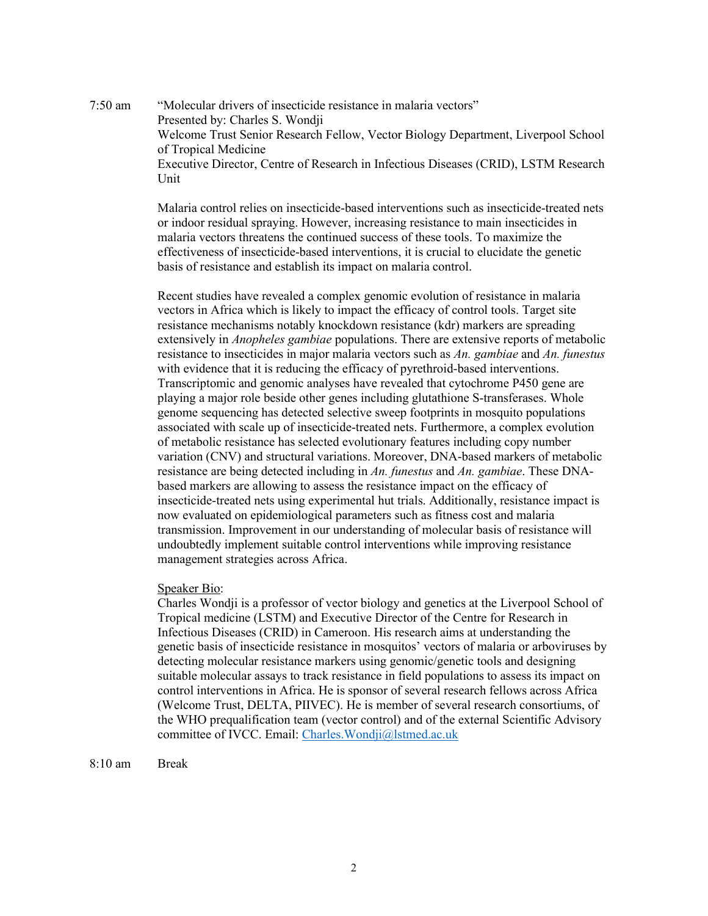7:50 am "Molecular drivers of insecticide resistance in malaria vectors" Presented by: Charles S. Wondji Welcome Trust Senior Research Fellow, Vector Biology Department, Liverpool School of Tropical Medicine Executive Director, Centre of Research in Infectious Diseases (CRID), LSTM Research Unit

> Malaria control relies on insecticide-based interventions such as insecticide-treated nets or indoor residual spraying. However, increasing resistance to main insecticides in malaria vectors threatens the continued success of these tools. To maximize the effectiveness of insecticide-based interventions, it is crucial to elucidate the genetic basis of resistance and establish its impact on malaria control.

> Recent studies have revealed a complex genomic evolution of resistance in malaria vectors in Africa which is likely to impact the efficacy of control tools. Target site resistance mechanisms notably knockdown resistance (kdr) markers are spreading extensively in *Anopheles gambiae* populations. There are extensive reports of metabolic resistance to insecticides in major malaria vectors such as *An. gambiae* and *An. funestus* with evidence that it is reducing the efficacy of pyrethroid-based interventions. Transcriptomic and genomic analyses have revealed that cytochrome P450 gene are playing a major role beside other genes including glutathione S-transferases. Whole genome sequencing has detected selective sweep footprints in mosquito populations associated with scale up of insecticide-treated nets. Furthermore, a complex evolution of metabolic resistance has selected evolutionary features including copy number variation (CNV) and structural variations. Moreover, DNA-based markers of metabolic resistance are being detected including in *An. funestus* and *An. gambiae*. These DNAbased markers are allowing to assess the resistance impact on the efficacy of insecticide-treated nets using experimental hut trials. Additionally, resistance impact is now evaluated on epidemiological parameters such as fitness cost and malaria transmission. Improvement in our understanding of molecular basis of resistance will undoubtedly implement suitable control interventions while improving resistance management strategies across Africa.

## Speaker Bio:

Charles Wondji is a professor of vector biology and genetics at the Liverpool School of Tropical medicine (LSTM) and Executive Director of the Centre for Research in Infectious Diseases (CRID) in Cameroon. His research aims at understanding the genetic basis of insecticide resistance in mosquitos' vectors of malaria or arboviruses by detecting molecular resistance markers using genomic/genetic tools and designing suitable molecular assays to track resistance in field populations to assess its impact on control interventions in Africa. He is sponsor of several research fellows across Africa (Welcome Trust, DELTA, PIIVEC). He is member of several research consortiums, of the WHO prequalification team (vector control) and of the external Scientific Advisory committee of IVCC. Email: Charles. Wondji@lstmed.ac.uk

8:10 am Break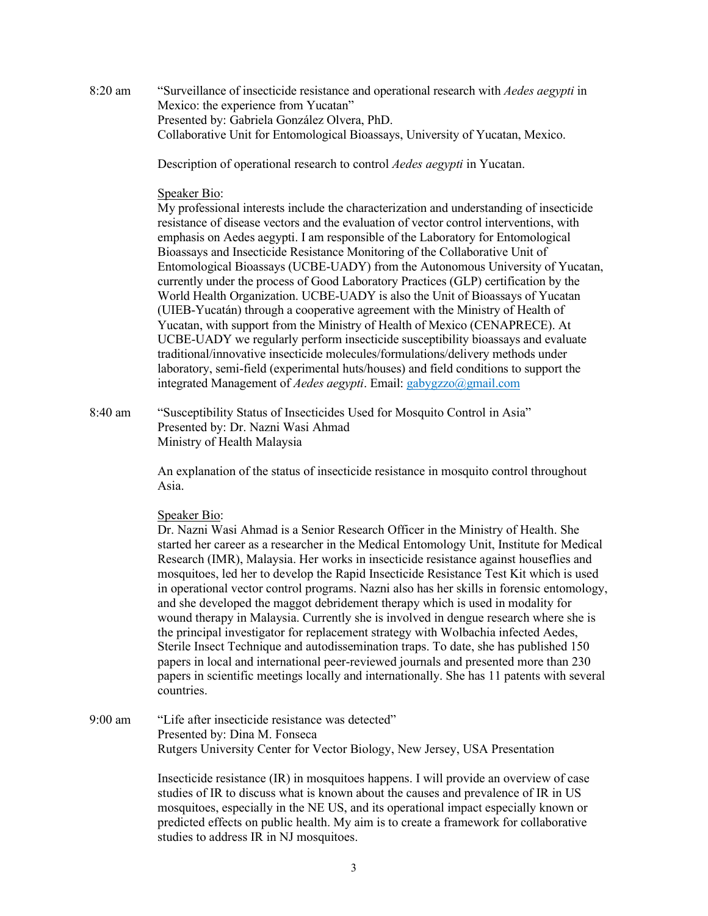8:20 am "Surveillance of insecticide resistance and operational research with *Aedes aegypti* in Mexico: the experience from Yucatan" Presented by: Gabriela González Olvera, PhD. Collaborative Unit for Entomological Bioassays, University of Yucatan, Mexico.

Description of operational research to control *Aedes aegypti* in Yucatan.

## Speaker Bio:

My professional interests include the characterization and understanding of insecticide resistance of disease vectors and the evaluation of vector control interventions, with emphasis on Aedes aegypti. I am responsible of the Laboratory for Entomological Bioassays and Insecticide Resistance Monitoring of the Collaborative Unit of Entomological Bioassays (UCBE-UADY) from the Autonomous University of Yucatan, currently under the process of Good Laboratory Practices (GLP) certification by the World Health Organization. UCBE-UADY is also the Unit of Bioassays of Yucatan (UIEB-Yucatán) through a cooperative agreement with the Ministry of Health of Yucatan, with support from the Ministry of Health of Mexico (CENAPRECE). At UCBE-UADY we regularly perform insecticide susceptibility bioassays and evaluate traditional/innovative insecticide molecules/formulations/delivery methods under laboratory, semi-field (experimental huts/houses) and field conditions to support the integrated Management of *Aedes aegypti*. Email: gabygzzo@gmail.com

8:40 am "Susceptibility Status of Insecticides Used for Mosquito Control in Asia" Presented by: Dr. Nazni Wasi Ahmad Ministry of Health Malaysia

> An explanation of the status of insecticide resistance in mosquito control throughout Asia.

## Speaker Bio:

Dr. Nazni Wasi Ahmad is a Senior Research Officer in the Ministry of Health. She started her career as a researcher in the Medical Entomology Unit, Institute for Medical Research (IMR), Malaysia. Her works in insecticide resistance against houseflies and mosquitoes, led her to develop the Rapid Insecticide Resistance Test Kit which is used in operational vector control programs. Nazni also has her skills in forensic entomology, and she developed the maggot debridement therapy which is used in modality for wound therapy in Malaysia. Currently she is involved in dengue research where she is the principal investigator for replacement strategy with Wolbachia infected Aedes, Sterile Insect Technique and autodissemination traps. To date, she has published 150 papers in local and international peer-reviewed journals and presented more than 230 papers in scientific meetings locally and internationally. She has 11 patents with several countries.

9:00 am "Life after insecticide resistance was detected" Presented by: Dina M. Fonseca Rutgers University Center for Vector Biology, New Jersey, USA Presentation

> Insecticide resistance (IR) in mosquitoes happens. I will provide an overview of case studies of IR to discuss what is known about the causes and prevalence of IR in US mosquitoes, especially in the NE US, and its operational impact especially known or predicted effects on public health. My aim is to create a framework for collaborative studies to address IR in NJ mosquitoes.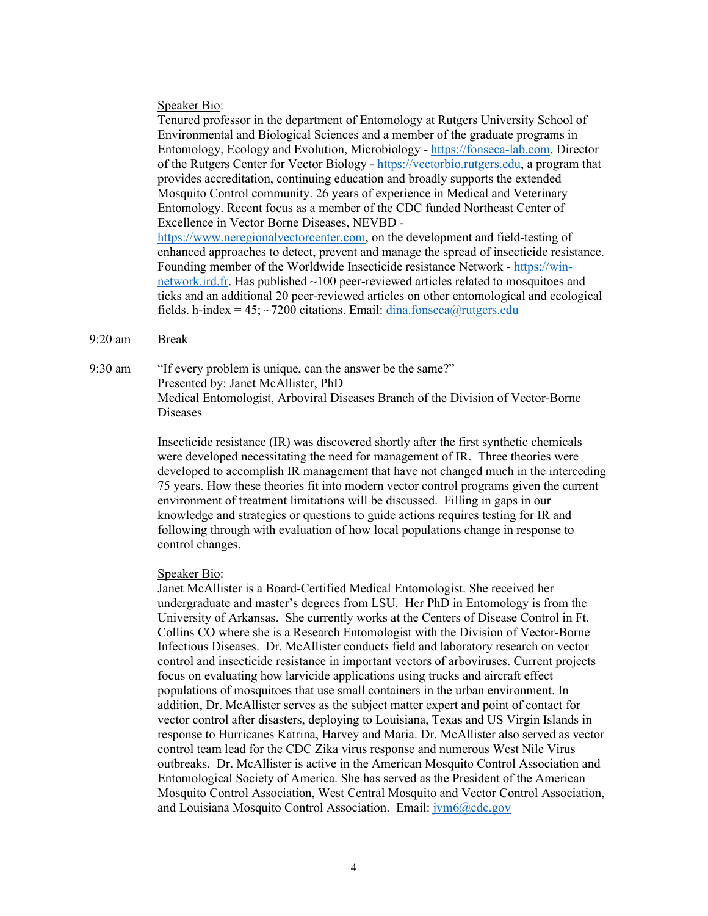#### Speaker Bio:

Tenured professor in the department of Entomology at Rutgers University School of Environmental and Biological Sciences and a member of the graduate programs in Entomology, Ecology and Evolution, Microbiology - [https://fonseca-lab.com.](https://urldefense.com/v3/__https:/fonseca-lab.com/__;!!BljAD5N0OmfQxSE!sb4wBMbhEDh3cdvvOr-RLoghvkN3uRU3mB4uwphJ3t2kAKnY-HbnU5g31KnhZqURT2zF8TSe$) Director of the Rutgers Center for Vector Biology - [https://vectorbio.rutgers.edu,](https://urldefense.com/v3/__https:/vectorbio.rutgers.edu/__;!!BljAD5N0OmfQxSE!sb4wBMbhEDh3cdvvOr-RLoghvkN3uRU3mB4uwphJ3t2kAKnY-HbnU5g31KnhZqURT6UfggJZ$) a program that provides accreditation, continuing education and broadly supports the extended Mosquito Control community. 26 years of experience in Medical and Veterinary Entomology. Recent focus as a member of the CDC funded Northeast Center of Excellence in Vector Borne Diseases, NEVBD [https://www.neregionalvectorcenter.com,](https://urldefense.com/v3/__https:/www.neregionalvectorcenter.com/__;!!BljAD5N0OmfQxSE!sb4wBMbhEDh3cdvvOr-RLoghvkN3uRU3mB4uwphJ3t2kAKnY-HbnU5g31KnhZqURT7HMcP37$) on the development and field-testing of enhanced approaches to detect, prevent and manage the spread of insecticide resistance. Founding member of the Worldwide Insecticide resistance Network - [https://win](https://urldefense.com/v3/__https:/win-network.ird.fr/__;!!BljAD5N0OmfQxSE!sb4wBMbhEDh3cdvvOr-RLoghvkN3uRU3mB4uwphJ3t2kAKnY-HbnU5g31KnhZqURT2pIgVcN$)[network.ird.fr.](https://urldefense.com/v3/__https:/win-network.ird.fr/__;!!BljAD5N0OmfQxSE!sb4wBMbhEDh3cdvvOr-RLoghvkN3uRU3mB4uwphJ3t2kAKnY-HbnU5g31KnhZqURT2pIgVcN$) Has published ~100 peer-reviewed articles related to mosquitoes and ticks and an additional 20 peer-reviewed articles on other entomological and ecological fields. h-index = 45;  $\sim$ 7200 citations. Email: [dina.fonseca@rutgers.edu](mailto:dina.fonseca@rutgers.edu)

9:20 am Break

9:30 am "If every problem is unique, can the answer be the same?" Presented by: Janet McAllister, PhD Medical Entomologist, Arboviral Diseases Branch of the Division of Vector-Borne Diseases

> Insecticide resistance (IR) was discovered shortly after the first synthetic chemicals were developed necessitating the need for management of IR. Three theories were developed to accomplish IR management that have not changed much in the interceding 75 years. How these theories fit into modern vector control programs given the current environment of treatment limitations will be discussed. Filling in gaps in our knowledge and strategies or questions to guide actions requires testing for IR and following through with evaluation of how local populations change in response to control changes.

#### Speaker Bio:

Janet McAllister is a Board-Certified Medical Entomologist. She received her undergraduate and master's degrees from LSU. Her PhD in Entomology is from the University of Arkansas. She currently works at the Centers of Disease Control in Ft. Collins CO where she is a Research Entomologist with the Division of Vector-Borne Infectious Diseases. Dr. McAllister conducts field and laboratory research on vector control and insecticide resistance in important vectors of arboviruses. Current projects focus on evaluating how larvicide applications using trucks and aircraft effect populations of mosquitoes that use small containers in the urban environment. In addition, Dr. McAllister serves as the subject matter expert and point of contact for vector control after disasters, deploying to Louisiana, Texas and US Virgin Islands in response to Hurricanes Katrina, Harvey and Maria. Dr. McAllister also served as vector control team lead for the CDC Zika virus response and numerous West Nile Virus outbreaks. Dr. McAllister is active in the American Mosquito Control Association and Entomological Society of America. She has served as the President of the American Mosquito Control Association, West Central Mosquito and Vector Control Association, and Louisiana Mosquito Control Association. Email:  $\frac{\partial \phi}{\partial c}$  Eq. 200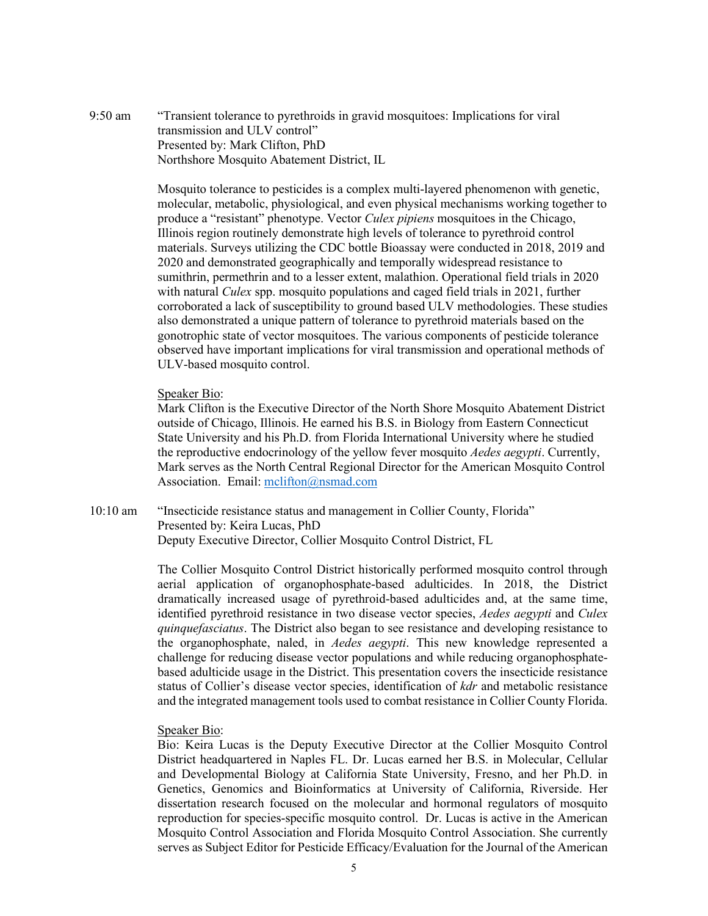9:50 am "Transient tolerance to pyrethroids in gravid mosquitoes: Implications for viral transmission and ULV control" Presented by: Mark Clifton, PhD Northshore Mosquito Abatement District, IL

> Mosquito tolerance to pesticides is a complex multi-layered phenomenon with genetic, molecular, metabolic, physiological, and even physical mechanisms working together to produce a "resistant" phenotype. Vector *Culex pipiens* mosquitoes in the Chicago, Illinois region routinely demonstrate high levels of tolerance to pyrethroid control materials. Surveys utilizing the CDC bottle Bioassay were conducted in 2018, 2019 and 2020 and demonstrated geographically and temporally widespread resistance to sumithrin, permethrin and to a lesser extent, malathion. Operational field trials in 2020 with natural *Culex* spp. mosquito populations and caged field trials in 2021, further corroborated a lack of susceptibility to ground based ULV methodologies. These studies also demonstrated a unique pattern of tolerance to pyrethroid materials based on the gonotrophic state of vector mosquitoes. The various components of pesticide tolerance observed have important implications for viral transmission and operational methods of ULV-based mosquito control.

## Speaker Bio:

Mark Clifton is the Executive Director of the North Shore Mosquito Abatement District outside of Chicago, Illinois. He earned his B.S. in Biology from Eastern Connecticut State University and his Ph.D. from Florida International University where he studied the reproductive endocrinology of the yellow fever mosquito *Aedes aegypti*. Currently, Mark serves as the North Central Regional Director for the American Mosquito Control Association. Email: [mclifton@nsmad.com](mailto:mclifton@nsmad.com)

10:10 am "Insecticide resistance status and management in Collier County, Florida" Presented by: Keira Lucas, PhD Deputy Executive Director, Collier Mosquito Control District, FL

> The Collier Mosquito Control District historically performed mosquito control through aerial application of organophosphate-based adulticides. In 2018, the District dramatically increased usage of pyrethroid-based adulticides and, at the same time, identified pyrethroid resistance in two disease vector species, *Aedes aegypti* and *Culex quinquefasciatus*. The District also began to see resistance and developing resistance to the organophosphate, naled, in *Aedes aegypti*. This new knowledge represented a challenge for reducing disease vector populations and while reducing organophosphatebased adulticide usage in the District. This presentation covers the insecticide resistance status of Collier's disease vector species, identification of *kdr* and metabolic resistance and the integrated management tools used to combat resistance in Collier County Florida.

#### Speaker Bio:

Bio: Keira Lucas is the Deputy Executive Director at the Collier Mosquito Control District headquartered in Naples FL. Dr. Lucas earned her B.S. in Molecular, Cellular and Developmental Biology at California State University, Fresno, and her Ph.D. in Genetics, Genomics and Bioinformatics at University of California, Riverside. Her dissertation research focused on the molecular and hormonal regulators of mosquito reproduction for species-specific mosquito control. Dr. Lucas is active in the American Mosquito Control Association and Florida Mosquito Control Association. She currently serves as Subject Editor for Pesticide Efficacy/Evaluation for the Journal of the American